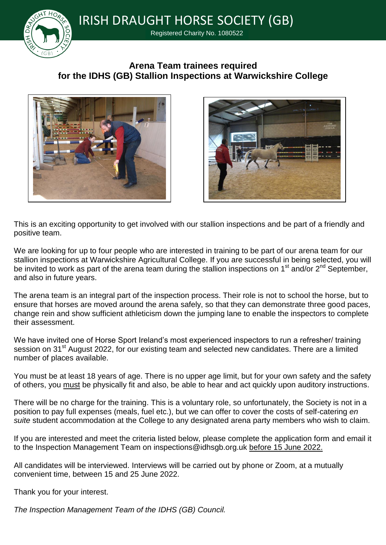

IRISH DRAUGHT HORSE SOCIETY (GB)

Registered Charity No. 1080522

## **Arena Team trainees required for the IDHS (GB) Stallion Inspections at Warwickshire College**





This is an exciting opportunity to get involved with our stallion inspections and be part of a friendly and positive team.

We are looking for up to four people who are interested in training to be part of our arena team for our stallion inspections at Warwickshire Agricultural College. If you are successful in being selected, you will be invited to work as part of the arena team during the stallion inspections on 1<sup>st</sup> and/or 2<sup>nd</sup> September, and also in future years.

The arena team is an integral part of the inspection process. Their role is not to school the horse, but to ensure that horses are moved around the arena safely, so that they can demonstrate three good paces, change rein and show sufficient athleticism down the jumping lane to enable the inspectors to complete their assessment.

We have invited one of Horse Sport Ireland's most experienced inspectors to run a refresher/ training session on 31<sup>st</sup> August 2022, for our existing team and selected new candidates. There are a limited number of places available.

You must be at least 18 years of age. There is no upper age limit, but for your own safety and the safety of others, you must be physically fit and also, be able to hear and act quickly upon auditory instructions.

There will be no charge for the training. This is a voluntary role, so unfortunately, the Society is not in a position to pay full expenses (meals, fuel etc.), but we can offer to cover the costs of self-catering *en suite* student accommodation at the College to any designated arena party members who wish to claim.

If you are interested and meet the criteria listed below, please complete the application form and email it to the Inspection Management Team on inspections@idhsgb.org.uk before 15 June 2022.

All candidates will be interviewed. Interviews will be carried out by phone or Zoom, at a mutually convenient time, between 15 and 25 June 2022.

Thank you for your interest.

*The Inspection Management Team of the IDHS (GB) Council.*